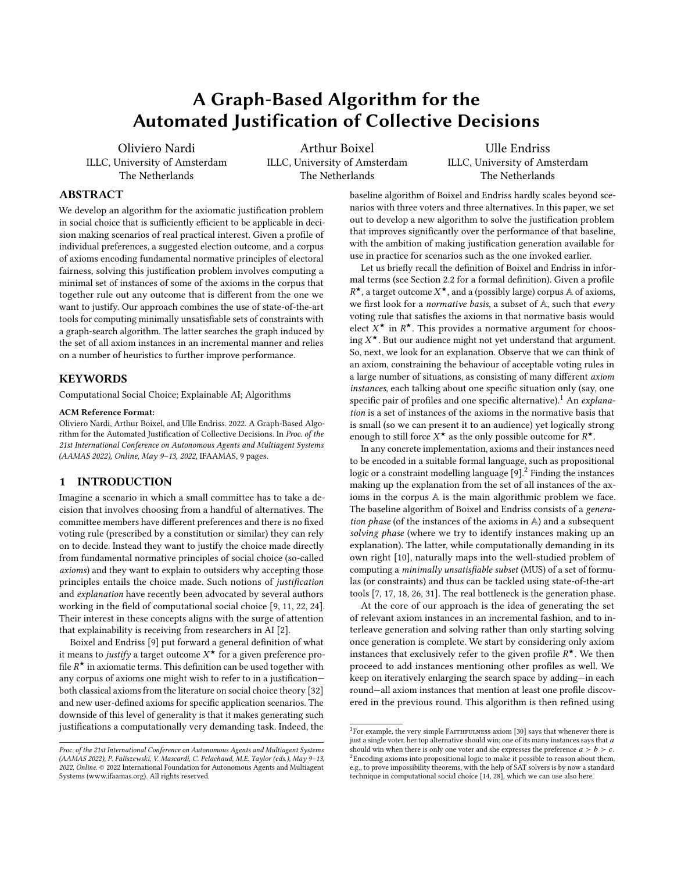# A Graph-Based Algorithm for the Automated Justification of Collective Decisions

Oliviero Nardi ILLC, University of Amsterdam The Netherlands

Arthur Boixel ILLC, University of Amsterdam The Netherlands

Ulle Endriss ILLC, University of Amsterdam The Netherlands

# ABSTRACT

We develop an algorithm for the axiomatic justification problem in social choice that is sufficiently efficient to be applicable in decision making scenarios of real practical interest. Given a profile of individual preferences, a suggested election outcome, and a corpus of axioms encoding fundamental normative principles of electoral fairness, solving this justification problem involves computing a minimal set of instances of some of the axioms in the corpus that together rule out any outcome that is different from the one we want to justify. Our approach combines the use of state-of-the-art tools for computing minimally unsatisfiable sets of constraints with a graph-search algorithm. The latter searches the graph induced by the set of all axiom instances in an incremental manner and relies on a number of heuristics to further improve performance.

# KEYWORDS

Computational Social Choice; Explainable AI; Algorithms

#### ACM Reference Format:

Oliviero Nardi, Arthur Boixel, and Ulle Endriss. 2022. A Graph-Based Algorithm for the Automated Justification of Collective Decisions. In Proc. of the 21st International Conference on Autonomous Agents and Multiagent Systems (AAMAS 2022), Online, May 9–13, 2022, IFAAMAS, [9](#page-8-0) pages.

# 1 INTRODUCTION

Imagine a scenario in which a small committee has to take a decision that involves choosing from a handful of alternatives. The committee members have different preferences and there is no fixed voting rule (prescribed by a constitution or similar) they can rely on to decide. Instead they want to justify the choice made directly from fundamental normative principles of social choice (so-called axioms) and they want to explain to outsiders why accepting those principles entails the choice made. Such notions of justification and explanation have recently been advocated by several authors working in the field of computational social choice [\[9,](#page-8-1) [11,](#page-8-2) [22,](#page-8-3) [24\]](#page-8-4). Their interest in these concepts aligns with the surge of attention that explainability is receiving from researchers in AI [\[2\]](#page-8-5).

Boixel and Endriss [\[9\]](#page-8-1) put forward a general definition of what it means to *justify* a target outcome  $X^*$  for a given preference pro-<br>file  $P^*$  in axiomatic terms. This definition can be used together with file  $R^{\star}$  in axiomatic terms. This definition can be used together with any corpus of axioms one might wish to refer to in a justification any corpus of axioms one might wish to refer to in a justification both classical axioms from the literature on social choice theory [\[32\]](#page-8-6) and new user-defined axioms for specific application scenarios. The downside of this level of generality is that it makes generating such justifications a computationally very demanding task. Indeed, the

baseline algorithm of [Boixel and Endriss](#page-8-1) hardly scales beyond scenarios with three voters and three alternatives. In this paper, we set out to develop a new algorithm to solve the justification problem that improves significantly over the performance of that baseline, with the ambition of making justification generation available for use in practice for scenarios such as the one invoked earlier.

Let us briefly recall the definition of [Boixel and Endriss](#page-8-1) in informal terms (see Section [2.2](#page-2-0) for a formal definition). Given a profile we first look for a *normative basis*, a subset of A, such that *every*  $\star$ , a target outcome  $X^*$ , and a (possibly large) corpus A of axioms, voting rule that satisfies the axioms in that normative basis would elect  $X^*$  in  $R^*$ . This provides a normative argument for choos-<br>ing  $Y^*$ . But our audience might not vet understand that argument. ing X<sup>\*</sup>. But our audience might not yet understand that argument.<br>So, next, we look for an explanation. Observe that we can think of So, next, we look for an explanation. Observe that we can think of an axiom, constraining the behaviour of acceptable voting rules in a large number of situations, as consisting of many different axiom instances, each talking about one specific situation only (say, one specific pair of profiles and one specific alternative).<sup>[1](#page-0-0)</sup> An explanation is a set of instances of the axioms in the normative basis that is small (so we can present it to an audience) yet logically strong enough to still force  $X^*$  as the only possible outcome for  $R^*$ .<br>In any concrete implementation axioms and their instances

In any concrete implementation, axioms and their instances need to be encoded in a suitable formal language, such as propositional logic or a constraint modelling language [\[9\]](#page-8-1).<sup>[2](#page-0-1)</sup> Finding the instances making up the explanation from the set of all instances of the axioms in the corpus A is the main algorithmic problem we face. The baseline algorithm of [Boixel and Endriss](#page-8-1) consists of a generation phase (of the instances of the axioms in A) and a subsequent solving phase (where we try to identify instances making up an explanation). The latter, while computationally demanding in its own right [\[10\]](#page-8-7), naturally maps into the well-studied problem of computing a minimally unsatisfiable subset (MUS) of a set of formulas (or constraints) and thus can be tackled using state-of-the-art tools [\[7,](#page-8-8) [17,](#page-8-9) [18,](#page-8-10) [26,](#page-8-11) [31\]](#page-8-12). The real bottleneck is the generation phase.

At the core of our approach is the idea of generating the set of relevant axiom instances in an incremental fashion, and to interleave generation and solving rather than only starting solving once generation is complete. We start by considering only axiom instances that exclusively refer to the given profile  $R^{\star}$ . We then<br>proceed to add instances mentioning other profiles as well. We proceed to add instances mentioning other profiles as well. We keep on iteratively enlarging the search space by adding—in each round—all axiom instances that mention at least one profile discovered in the previous round. This algorithm is then refined using

Proc. of the 21st International Conference on Autonomous Agents and Multiagent Systems (AAMAS 2022), P. Faliszewski, V. Mascardi, C. Pelachaud, M.E. Taylor (eds.), May 9–13, 2022, Online. © 2022 International Foundation for Autonomous Agents and Multiagent Systems (www.ifaamas.org). All rights reserved.

<span id="page-0-1"></span><span id="page-0-0"></span><sup>&</sup>lt;sup>1</sup>For example, the very simple FAITHFULNESS axiom [\[30\]](#page-8-13) says that whenever there is just a single voter, her top alternative should win; one of its many instances says that  $a$ should win when there is only one voter and she expresses the preference  $a > b > c$ .  ${}^{2}$ Encoding axioms into propositional logic to make it possible to reason about them, e.g., to prove impossibility theorems, with the help of SAT solvers is by now a standard technique in computational social choice [\[14,](#page-8-14) [28\]](#page-8-15), which we can use also here.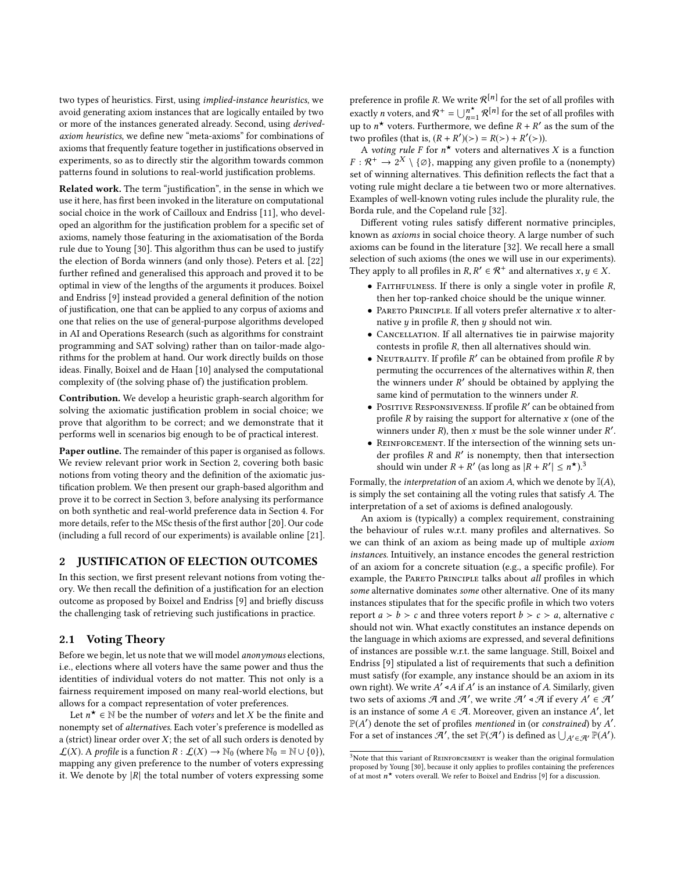two types of heuristics. First, using implied-instance heuristics, we avoid generating axiom instances that are logically entailed by two or more of the instances generated already. Second, using derivedaxiom heuristics, we define new "meta-axioms" for combinations of axioms that frequently feature together in justifications observed in experiments, so as to directly stir the algorithm towards common patterns found in solutions to real-world justification problems.

Related work. The term "justification", in the sense in which we use it here, has first been invoked in the literature on computational social choice in the work of Cailloux and Endriss [\[11\]](#page-8-2), who developed an algorithm for the justification problem for a specific set of axioms, namely those featuring in the axiomatisation of the Borda rule due to Young [\[30\]](#page-8-13). This algorithm thus can be used to justify the election of Borda winners (and only those). Peters et al. [\[22\]](#page-8-3) further refined and generalised this approach and proved it to be optimal in view of the lengths of the arguments it produces. Boixel and Endriss [\[9\]](#page-8-1) instead provided a general definition of the notion of justification, one that can be applied to any corpus of axioms and one that relies on the use of general-purpose algorithms developed in AI and Operations Research (such as algorithms for constraint programming and SAT solving) rather than on tailor-made algorithms for the problem at hand. Our work directly builds on those ideas. Finally, Boixel and de Haan [\[10\]](#page-8-7) analysed the computational complexity of (the solving phase of) the justification problem.

Contribution. We develop a heuristic graph-search algorithm for solving the axiomatic justification problem in social choice; we prove that algorithm to be correct; and we demonstrate that it performs well in scenarios big enough to be of practical interest.

Paper outline. The remainder of this paper is organised as follows. We review relevant prior work in Section [2,](#page-1-0) covering both basic notions from voting theory and the definition of the axiomatic justification problem. We then present our graph-based algorithm and prove it to be correct in Section [3,](#page-2-1) before analysing its performance on both synthetic and real-world preference data in Section [4.](#page-5-0) For more details, refer to the MSc thesis of the first author [\[20\]](#page-8-16). Our code (including a full record of our experiments) is available online [\[21\]](#page-8-17).

# <span id="page-1-0"></span>2 JUSTIFICATION OF ELECTION OUTCOMES

In this section, we first present relevant notions from voting theory. We then recall the definition of a justification for an election outcome as proposed by Boixel and Endriss [\[9\]](#page-8-1) and briefly discuss the challenging task of retrieving such justifications in practice.

# <span id="page-1-2"></span>2.1 Voting Theory

Before we begin, let us note that we will model anonymous elections, i.e., elections where all voters have the same power and thus the identities of individual voters do not matter. This not only is a fairness requirement imposed on many real-world elections, but allows for a compact representation of voter preferences.

Let  $n^* \in \mathbb{N}$  be the number of *voters* and let X be the finite and nemnty set of *alternatives*. Each voter's preference is modelled as nonempty set of alternatives. Each voter's preference is modelled as a (strict) linear order over  $X$ ; the set of all such orders is denoted by  $\mathcal{L}(X)$ . A profile is a function  $R : \mathcal{L}(X) \to \mathbb{N}_0$  (where  $\mathbb{N}_0 = \mathbb{N} \cup \{0\}$ ), mapping any given preference to the number of voters expressing it. We denote by  $|R|$  the total number of voters expressing some

preference in profile R. We write  $\mathcal{R}^{[n]}$  for the set of all profiles with<br>sure that useful profiles with exactly *n* voters, and  $\mathcal{R}^+ = \bigcup_{n=1}^{n^*} \mathcal{R}^{[n]}$  for the set of all profiles with up to  $n^*$  voters. Furthermore, we define  $R + R'$  as the sum of the<br>two profiles (that is  $(R + P')(<) - P(>) + P'(<)$ ) two profiles (that is,  $(R + R')(\ge) = R(\ge) + R'(\ge)$ ).<br>A voting rule E for  $n^*$  voters and alternative

A voting rule F for  $n^*$  voters and alternatives X is a function  $\mathcal{R}^+ \rightarrow 2^X \setminus \{\emptyset\}$  manning any given profile to a (nonempty)  $F: \mathcal{R}^+ \to 2^X \setminus \{\emptyset\}$ , mapping any given profile to a (nonempty)<br>set of winning alternatives. This definition reflects the fact that a set of winning alternatives. This definition reflects the fact that a voting rule might declare a tie between two or more alternatives. Examples of well-known voting rules include the plurality rule, the Borda rule, and the Copeland rule [\[32\]](#page-8-6).

Different voting rules satisfy different normative principles, known as axioms in social choice theory. A large number of such axioms can be found in the literature [\[32\]](#page-8-6). We recall here a small selection of such axioms (the ones we will use in our experiments). They apply to all profiles in  $R, R' \in \mathcal{R}^+$  and alternatives  $x, y \in X$ .

- FAITHFULNESS. If there is only a single voter in profile  $R$ , then her top-ranked choice should be the unique winner.
- PARETO PRINCIPLE. If all voters prefer alternative  $x$  to alternative  $y$  in profile  $R$ , then  $y$  should not win.
- CANCELLATION. If all alternatives tie in pairwise majority contests in profile R, then all alternatives should win.
- NEUTRALITY. If profile  $R'$  can be obtained from profile  $R$  by permuting the occurrences of the alternatives within  $R$  then permuting the occurrences of the alternatives within R, then the winners under  $R'$  should be obtained by applying the same kind of permutation to the winners under  $R$ same kind of permutation to the winners under R.
- Positive Responsiveness. If profile  $R'$  can be obtained from profile  $R$  by raising the support for alternative  $x$  (one of the profile  $R$  by raising the support for alternative  $x$  (one of the winners under  $R$ ), then  $x$  must be the sole winner under  $R'$ .<br>PEINEOPCEMENT, If the intersection of the winning sets un-
- REINFORCEMENT. If the intersection of the winning sets under profiles R and R' is nonempty, then that intersection<br>should win under  $P + P'$  (as long as  $\vert P + P' \vert < n^{*}$ )<sup>3</sup> should win under  $R + R'$  (as long as  $|R + R'| \le n^{\star})^3$  $|R + R'| \le n^{\star})^3$

Formally, the *interpretation* of an axiom A, which we denote by  $\mathbb{I}(A)$ , is simply the set containing all the voting rules that satisfy A. The interpretation of a set of axioms is defined analogously.

An axiom is (typically) a complex requirement, constraining the behaviour of rules w.r.t. many profiles and alternatives. So we can think of an axiom as being made up of multiple axiom instances. Intuitively, an instance encodes the general restriction of an axiom for a concrete situation (e.g., a specific profile). For example, the PARETO PRINCIPLE talks about all profiles in which some alternative dominates some other alternative. One of its many instances stipulates that for the specific profile in which two voters report  $a > b > c$  and three voters report  $b > c > a$ , alternative c should not win. What exactly constitutes an instance depends on the language in which axioms are expressed, and several definitions of instances are possible w.r.t. the same language. Still, Boixel and Endriss [\[9\]](#page-8-1) stipulated a list of requirements that such a definition must satisfy (for example, any instance should be an axiom in its own right). We write  $A^f \triangleleft A$  if  $A'$  is an instance of A. Similarly, given<br>two sets of axioms  $A$  and  $A'$ , we write  $A' \triangleleft A$  if every  $A' \subseteq A'$ . two sets of axioms  $\mathcal A$  and  $\mathcal A'$ , we write  $\mathcal A' \triangleleft \mathcal A$  if every  $A' \in \mathcal A'$ <br>is an instance of some  $A \in \mathcal A$ . Moreover, given an instance  $A'$ , let is an instance of some  $A \in \mathcal{A}$ . Moreover, given an instance A', let  $\mathbb{P}(A')$  denote the set of profiles *mentioned* in (or *constrained*) by A'.<br>For a set of instances  $\mathcal{A}'$  the set  $\mathbb{P}(\mathcal{A}')$  is defined as  $\Box \cup \Box \mathbb{P}(A')$ . For a set of instances  $\mathcal{A}'$ , the set  $\mathbb{P}(\mathcal{A}')$  is defined as  $\bigcup_{A'\in\mathcal{A}'}\mathbb{P}(A')$ .

<span id="page-1-1"></span> $3$ Note that this variant of REINFORCEMENT is weaker than the original formulation proposed by Young [\[30\]](#page-8-13), because it only applies to profiles containing the preferences of at most  $n^{\star}$  voters overall. We refer to Boixel and Endriss [\[9\]](#page-8-1) for a discussion.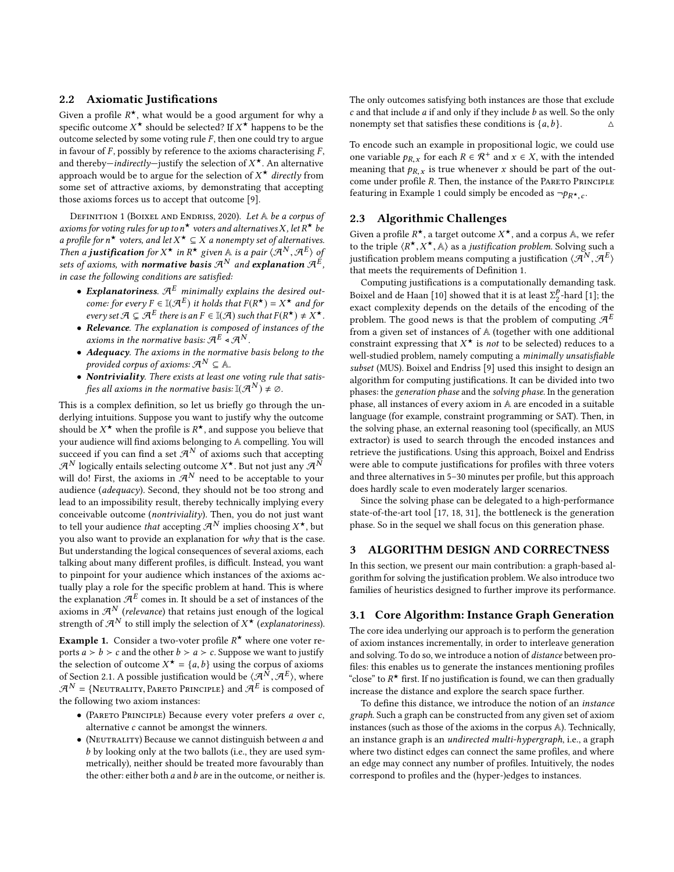# <span id="page-2-0"></span>2.2 Axiomatic Justifications

Given a profile  $R^*$ , what would be a good argument for why a<br>specific outcome  $X^*$  should be selected? If  $X^*$  bannens to be the specific outcome  $X^*$  should be selected? If  $X^*$  happens to be the<br>outcome selected by some voting rule  $F$  then one could try to argue outcome selected by some voting rule  $F$ , then one could try to argue in favour of  $F$ , possibly by reference to the axioms characterising  $F$ , and thereby—indirectly—justify the selection of  $X^*$ . An alternative<br>approach would be to argue for the selection of  $X^*$  directly from approach would be to argue for the selection of  $X^*$  *directly* from<br>some set of attractive axioms, by demonstrating that accepting some set of attractive axioms, by demonstrating that accepting those axioms forces us to accept that outcome [\[9\]](#page-8-1).

<span id="page-2-3"></span>DEFINITION 1 (BOIXEL AND ENDRISS, 2020). Let A be a corpus of axioms for voting rules for up to  $n^{\star}$  voters and alternatives X, let R\* be<br>a profile for  $n^{\star}$  voters, and let  $X^{\star} \subset X$  a nonempty set of alternatives a profile for  $n^*$  voters, and let  $X^* \subseteq X$  a nonempty set of alternatives.<br>Then a **justification** for  $X^*$  in  $R^*$  given  $\mathbb{A}$  is a pair  $(\mathcal{A}^N, \mathcal{A}^E)$  of Then a **justification** for  $X^*$  in  $R^*$  given A is a pair  $\langle A^N, A^E \rangle$  of sets of axioms, with **normative** hasis  $\mathcal{A}^N$  and explanation  $\mathcal{A}^E$ sets of axioms, with **normative basis**  $\mathcal{A}^N$  and  $\boldsymbol{\epsilon}$  **xplanation**  $\mathcal{A}^E$  , in case the following conditions are satisfied:

- Explanatoriness.  $\mathcal{A}^E$  minimally explains the desired outcome: for every  $F \in \mathbb{I}(\mathcal{A}^E)$  it holds that  $F(R^*) = X^*$  and for<br>every set  $\mathcal{A} \subset \mathcal{A}^E$  there is an  $F \in \mathbb{I}(\mathcal{A})$  such that  $F(R^*) + Y^*$ every set  $\mathcal{A} \subsetneq \mathcal{A}^E$  there is an  $F \in \mathbb{I}(\mathcal{A})$  such that  $F(R^{\star}) \neq X^{\star}$ .<br>**Pelevance**, The explanation is composed of instances of the
- Relevance. The explanation is composed of instances of the axioms in the normative basis:  $\mathcal{A}^E \triangleleft \mathcal{A}^N$ .<br>Adequacy The axioms in the normative
- Adequacy. The axioms in the normative basis belong to the provided corpus of axioms:  $\mathcal{A}^N \subseteq \mathbb{A}$ .
- Nontriviality. There exists at least one voting rule that satisfies all axioms in the normative basis:  $\mathbb{I}(\mathcal{A}^N) \neq \emptyset$ .

This is a complex definition, so let us briefly go through the underlying intuitions. Suppose you want to justify why the outcome should be  $X^{\star}$  when the profile is  $R^{\star}$ , and suppose you believe that<br>your audience will find axioms belonging to A compelling. You will your audience will find axioms belonging to A compelling. You will succeed if you can find a set  $\mathcal{A}^N$  of axioms such that accepting  $\mathcal{A}^N$  logically entails selecting outcome  $X^*$ . But not just any  $\mathcal{A}^N$ <br>will dol First, the axioms in  $\mathcal{A}^N$  need to be acceptable to your will do! First, the axioms in  $\mathcal{A}^N$  need to be acceptable to your audience (adequacy). Second, they should not be too strong and lead to an impossibility result, thereby technically implying every conceivable outcome (nontriviality). Then, you do not just want to tell your audience *that* accepting  $\mathcal{A}^N$  implies choosing  $X^*$ , but<br>you also want to provide an explanation for why that is the case you also want to provide an explanation for why that is the case. But understanding the logical consequences of several axioms, each talking about many different profiles, is difficult. Instead, you want to pinpoint for your audience which instances of the axioms actually play a role for the specific problem at hand. This is where the explanation  $\mathcal{A}^E$  comes in. It should be a set of instances of the axioms in  $\mathcal{A}^N$  (relevance) that retains just enough of the logical strength of  $\mathcal{A}^N$  to still imply the selection of  $X^\star$  (*explanatoriness*).

<span id="page-2-2"></span>**Example 1.** Consider a two-voter profile  $R^*$  where one voter re-<br>ports  $a > b > c$  and the other  $b > a > c$ . Suppose we want to justify ports  $a > b > c$  and the other  $b > a > c$ . Suppose we want to justify the selection of outcome  $X^* = \{a, b\}$  using the corpus of axioms<br>of Section 2.1, A possible instification would be  $\langle A^N, \mathcal{A}^E \rangle$  where of Section [2.1.](#page-1-2) A possible justification would be  $\langle A^N, A^E \rangle$ , where  $\mathcal{A}^N = \langle N_{\text{BUTR}} \rangle$  and  $\langle A^E \rangle$  is composed of  $\mathcal{A}^N$  = {NEUTRALITY, PARETO PRINCIPLE} and  $\mathcal{A}^E$  is composed of the following two axiom instances: the following two axiom instances:

- (Pareto Principle) Because every voter prefers a over c, alternative c cannot be amongst the winners.
- $\bullet$  (NEUTRALITY) Because we cannot distinguish between  $a$  and b by looking only at the two ballots (i.e., they are used symmetrically), neither should be treated more favourably than the other: either both  $a$  and  $b$  are in the outcome, or neither is.

The only outcomes satisfying both instances are those that exclude c and that include a if and only if they include b as well. So the only nonempty set that satisfies these conditions is  $\{a, b\}$ . nonempty set that satisfies these conditions is  $\{a, b\}$ .

To encode such an example in propositional logic, we could use one variable  $p_{R,x}$  for each  $R \in \mathcal{R}^+$  and  $x \in X$ , with the intended meaning that  $p_{R,x}$  is true whenever x should be part of the outcome under profile R. Then, the instance of the PARETO PRINCIPLE featuring in Example [1](#page-2-2) could simply be encoded as  $\neg p_{R^*,c}$ .

# 2.3 Algorithmic Challenges

Given a profile  $R^*$ , a target outcome  $X^*$ , and a corpus  $A$ , we refer<br>to the triple  $\left\{R^* \times K^* \right\}$  as a justification problem. Solving such a to the triple  $\langle R^*, X^*, \mathbb{A} \rangle$  as a justification problem. Solving such a justification  $\langle AR, AR \rangle$ to the triple  $\langle K, \lambda, A \rangle$  as a *justification problem*. Solving such a<br>justification problem means computing a justification  $\langle A^N, A^E \rangle$ <br>that meats the requirements of Definition 1 that meets the requirements of Definition [1.](#page-2-3)

Computing justifications is a computationally demanding task. Boixel and de Haan [\[10\]](#page-8-7) showed that it is at least  $\Sigma_2^p$ <br>exact complexity depends on the details of the en- $\frac{p}{2}$ -hard [\[1\]](#page-8-18); the exact complexity depends on the details of the encoding of the problem. The good news is that the problem of computing  $\mathcal{A}^E$ from a given set of instances of A (together with one additional constraint expressing that  $X^*$  is *not* to be selected) reduces to a window selected replacement of a minimally unsatisfiable well-studied problem, namely computing a minimally unsatisfiable subset (MUS). Boixel and Endriss [\[9\]](#page-8-1) used this insight to design an algorithm for computing justifications. It can be divided into two phases: the generation phase and the solving phase. In the generation phase, all instances of every axiom in A are encoded in a suitable language (for example, constraint programming or SAT). Then, in the solving phase, an external reasoning tool (specifically, an MUS extractor) is used to search through the encoded instances and retrieve the justifications. Using this approach, [Boixel and Endriss](#page-8-1) were able to compute justifications for profiles with three voters and three alternatives in 5–30 minutes per profile, but this approach does hardly scale to even moderately larger scenarios.

Since the solving phase can be delegated to a high-performance state-of-the-art tool [\[17,](#page-8-9) [18,](#page-8-10) [31\]](#page-8-12), the bottleneck is the generation phase. So in the sequel we shall focus on this generation phase.

# <span id="page-2-1"></span>3 ALGORITHM DESIGN AND CORRECTNESS

In this section, we present our main contribution: a graph-based algorithm for solving the justification problem. We also introduce two families of heuristics designed to further improve its performance.

#### 3.1 Core Algorithm: Instance Graph Generation

The core idea underlying our approach is to perform the generation of axiom instances incrementally, in order to interleave generation and solving. To do so, we introduce a notion of distance between profiles: this enables us to generate the instances mentioning profiles "close" to  $R^*$  first. If no justification is found, we can then gradually increase the distance and evalors the search space further increase the distance and explore the search space further.

To define this distance, we introduce the notion of an instance graph. Such a graph can be constructed from any given set of axiom instances (such as those of the axioms in the corpus A). Technically, an instance graph is an undirected multi-hypergraph, i.e., a graph where two distinct edges can connect the same profiles, and where an edge may connect any number of profiles. Intuitively, the nodes correspond to profiles and the (hyper-)edges to instances.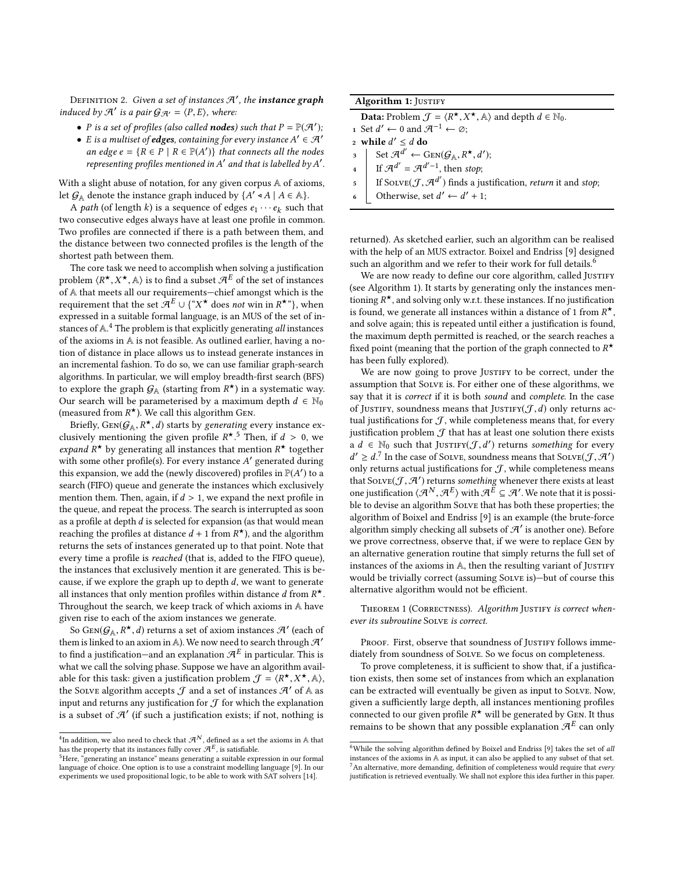DEFINITION 2. *Given a set of instances*  $\mathcal{A}'$ , the **instance graph** induced by  $\mathcal{A}'$  is a pair  $\mathcal{G}_{\mathcal{A}'} = \langle P, E \rangle$ , where:

- P is a set of profiles (also called **nodes**) such that  $P = \mathbb{P}(\mathcal{A}')$ ;<br>• F is a multiset of **edges**, containing for every instance  $A' \in \mathcal{A}'$
- E is a multiset of **edges**, containing for every instance  $A' \in \mathcal{A}'$ <br>an edge  $e \{B \in P \mid B \in \mathbb{P}(A')\}$  that connects all the nodes an edge  $e = \{R \in P \mid R \in \mathbb{P}(A')\}$  that connects all the nodes<br>representing profiles mentioned in A' and that is labelled by A' representing profiles mentioned in  $A'$  and that is labelled by  $A'$ .

With a slight abuse of notation, for any given corpus A of axioms, let  $G_A$  denote the instance graph induced by  $\{A' \circ A \mid A \in A\}$ .<br>A path (of length k) is a sequence of edges exercisely

A *path* (of length k) is a sequence of edges  $e_1 \cdots e_k$  such that two consecutive edges always have at least one profile in common. Two profiles are connected if there is a path between them, and the distance between two connected profiles is the length of the shortest path between them.

The core task we need to accomplish when solving a justification problem  $\langle R^*, X^*, \mathbb{A} \rangle$  is to find a subset  $\mathcal{A}^E$  of the set of instances of  $\mathbb{A}$  that meets all our requirements—chief amongst which is the problem  $(X, A, A)$  is to thing a subset  $A$  of the set of instances of A that meets all our requirements—chief amongst which is the requirement that the set  $\mathcal{A}^E \cup \{^\alpha X^\star \text{ does not win in } R^{\star \circ} \}$ , when expressed in a suitable formal language, is an MUS of the set of in-stances of A.<sup>[4](#page-3-0)</sup> The problem is that explicitly generating all instances of the axioms in A is not feasible. As outlined earlier, having a notion of distance in place allows us to instead generate instances in an incremental fashion. To do so, we can use familiar graph-search algorithms. In particular, we will employ breadth-first search (BFS) to explore the graph  $G_A$  (starting from  $R^*$ ) in a systematic way.<br>Our search will be parameterised by a maximum denth  $d \in \mathbb{N}_0$ . Our search will be parameterised by a maximum depth  $d \in \mathbb{N}_0$ (measured from  $R^*$ ). We call this algorithm GEN.<br>Briefly GEN( $G \in R^*$  d) starts by generating  $g$ 

Briefly,  $Gen(G_A, R^{\star}, d)$  starts by *generating* every instance ex-<br>sively mentioning the given profile  $R^{\star}$ <sup>5</sup> Then if  $d > 0$  we clusively mentioning the given profile  $R^{\star}$ .<sup>[5](#page-3-1)</sup> Then, if  $d > 0$ , we expand  $R^{\star}$  by generating all instances that mention  $R^{\star}$  together expand  $R^*$  by generating all instances that mention  $R^*$  together<br>with some other profile(s). For every instance A' generated during with some other profile(s). For every instance A' generated during<br>this expansion, we add the (newly discovered) profiles in  $\mathbb{P}(4')$  to a this expansion, we add the (newly discovered) profiles in  $\mathbb{P}(A')$  to a search (FIFO) queue and generate the instances which exclusively search (FIFO) queue and generate the instances which exclusively mention them. Then, again, if  $d > 1$ , we expand the next profile in the queue, and repeat the process. The search is interrupted as soon as a profile at depth  $d$  is selected for expansion (as that would mean reaching the profiles at distance  $d + 1$  from  $R^*$ ), and the algorithm<br>returns the sets of instances generated up to that point. Note that returns the sets of instances generated up to that point. Note that every time a profile is reached (that is, added to the FIFO queue), the instances that exclusively mention it are generated. This is because, if we explore the graph up to depth  $d$ , we want to generate all instances that only mention profiles within distance d from  $R^*$ .<br>Throughout the search we keep track of which axioms in A have Throughout the search, we keep track of which axioms in A have given rise to each of the axiom instances we generate.

So  $Gen(\mathcal{G}_A, R^{\star}, d)$  returns a set of axiom instances  $\mathcal{H}'$  (each of  $m$  is linked to an axiom in  $\mathbb{A}$ ). We now need to search through  $\mathcal{H}'$ . them is linked to an axiom in A). We now need to search through  $\mathcal{A}'$ to find a justification—and an explanation  $\mathcal{A}^E$  in particular. This is what we call the solving phase. Suppose we have an algorithm available for this task: given a justification problem  $\mathcal{J} = \langle R^*, X^*, \mathbb{A} \rangle$ ,<br>the SOVE algorithm accents  $\mathcal{J}$  and a set of instances  $\mathcal{J}'$  of  $\mathbb{A}$  as able for this task: given a justification problem  $J = \langle K^{\gamma}, \Lambda^{\gamma}, \mathbb{A} \rangle$ ,<br>the Solve algorithm accepts  $J$  and a set of instances  $\mathcal{A}'$  of  $\mathbb{A}$  as input and returns any justification for  $J$  for which the explanation is a subset of  $\mathcal{A}'$  (if such a justification exists; if not, nothing is

Algorithm 1: JUSTIFY

**Data:** Problem  $\mathcal{J} = \langle R^*, X^*, \mathbb{A} \rangle$  and depth  $d \in \mathbb{N}_0$ .<br>Set  $d' \leftarrow 0$  and  $\mathcal{J}^{-1} \leftarrow \emptyset$ .

- **Data:** Propiem  $J = \langle K^{\circ}, X \rangle$ <br>1 Set  $d' \leftarrow 0$  and  $\mathcal{A}^{-1} \leftarrow \emptyset$ ;
- 2 while  $d' \leq d$  do
- <span id="page-3-5"></span> $3 \left[ \operatorname{Set} \mathcal{A}^{d'} \leftarrow \operatorname{GEN}(\mathcal{G}_{\mathbb{A}}, R^{\star}, d');$ <br>  $\operatorname{Set} \mathcal{A}^{d'} = \mathcal{A}^{d'-1}$
- 3 Set A<sup>∞</sup> ← GEN( $g_A$ , R , a<br>4 If  $\mathcal{A}^{d'} = \mathcal{A}^{d'-1}$ , then stop;
- 5 If SOLVE $(\mathcal{J}, \mathcal{A}^{d'})$  finds a justification, *return* it and *stop*;
- <span id="page-3-3"></span>6 Ctherwise, set  $d' \leftarrow d' + 1$ ;

returned). As sketched earlier, such an algorithm can be realised with the help of an MUS extractor. Boixel and Endriss [\[9\]](#page-8-1) designed such an algorithm and we refer to their work for full details.<sup>[6](#page-3-2)</sup>

We are now ready to define our core algorithm, called JUSTIFY (see Algorithm [1\)](#page-3-3). It starts by generating only the instances mentioning  $R^*$ , and solving only w.r.t. these instances. If no justification<br>is found, we generate all instances within a distance of 1 from  $R^*$ . is found, we generate all instances within a distance of 1 from  $R^*$ ,<br>and solve again; this is repeated until either a justification is found. and solve again; this is repeated until either a justification is found, the maximum depth permitted is reached, or the search reaches a fixed point (meaning that the portion of the graph connected to  $R^{\star}$ <br>has been fully explored) has been fully explored).

We are now going to prove JUSTIFY to be correct, under the assumption that Solve is. For either one of these algorithms, we say that it is correct if it is both sound and complete. In the case of JUSTIFY, soundness means that JUSTIFY( $J$ , d) only returns actual justifications for  $\mathcal{J}$ , while completeness means that, for every justification problem  $J$  that has at least one solution there exists  $\tilde{d} \in \mathbb{N}_0$  such that JUSTIFY( $\mathcal{J}, d'$ ) returns something for every  $d' > d^T$  in the case of SOVE soundness means that SOVE( $\mathcal{T}$ ,  $\mathcal{A}'$ )  $\frac{d}{dx}$  and the distribution of  $\frac{d}{dx}$ , while completeness means  $\mathbf{Z} \geq d$ .<sup>[7](#page-3-4)</sup> In the case of SOLVE, soundness means that SOLVE $(\mathcal{J}, \mathcal{A}')$ <br>why returns actual justifications for  $\mathcal{J}$ , while completences means that Solve $(\mathcal{J}, \mathcal{A}')$  returns something whenever there exists at least<br>one justification  $(\mathcal{A}^N, \mathcal{A}^E)$  with  $\mathcal{A}^E \subset \mathcal{A}'$ . We note that it is nossione justification  $\langle A^N, A^E \rangle$  with  $\mathcal{A}^{\overline{E}} \subseteq \mathcal{A}'$ . We note that it is possible to devise an algorithm SOLVE that has both these properties: the ble to devise an algorithm Solve that has both these properties; the algorithm of Boixel and Endriss [\[9\]](#page-8-1) is an example (the brute-force algorithm simply checking all subsets of  $\mathcal{A}'$  is another one). Before we prove correctness, observe that, if we were to replace Gen by an alternative generation routine that simply returns the full set of instances of the axioms in A, then the resulting variant of JUSTIFY would be trivially correct (assuming Solve is)—but of course this alternative algorithm would not be efficient.

<span id="page-3-6"></span>THEOREM 1 (CORRECTNESS). Algorithm JUSTIFY is correct whenever its subroutine Solve is correct.

PROOF. First, observe that soundness of JUSTIFY follows immediately from soundness of Solve. So we focus on completeness.

To prove completeness, it is sufficient to show that, if a justification exists, then some set of instances from which an explanation can be extracted will eventually be given as input to SOLVE. Now, given a sufficiently large depth, all instances mentioning profiles connected to our given profile  $R^*$  will be generated by Gen. It thus<br>remains to be shown that any possible evplanation  $\mathcal{A}^E$  can only remains to be shown that any possible explanation  $\mathcal{A}^E$  can only

<span id="page-3-0"></span> ${}^4{\rm In}$  addition, we also need to check that  ${\mathcal A}^N$ , defined as a set the axioms in  ${\mathbb A}$  that has the property that its instances fully cover  $\mathcal{A}^E$ , is satisfiable.

<span id="page-3-1"></span><sup>&</sup>lt;sup>5</sup>Here, "generating an instance" means generating a suitable expression in our formal language of choice. One option is to use a constraint modelling language [\[9\]](#page-8-1). In our experiments we used propositional logic, to be able to work with SAT solvers [\[14\]](#page-8-14).

<span id="page-3-4"></span><span id="page-3-2"></span> $^6$  While the solving algorithm defined by Boixel and Endriss [\[9\]](#page-8-1) takes the set of all instances of the axioms in A as input, it can also be applied to any subset of that set.  $^7$ An alternative, more demanding, definition of completeness would require that every justification is retrieved eventually. We shall not explore this idea further in this paper.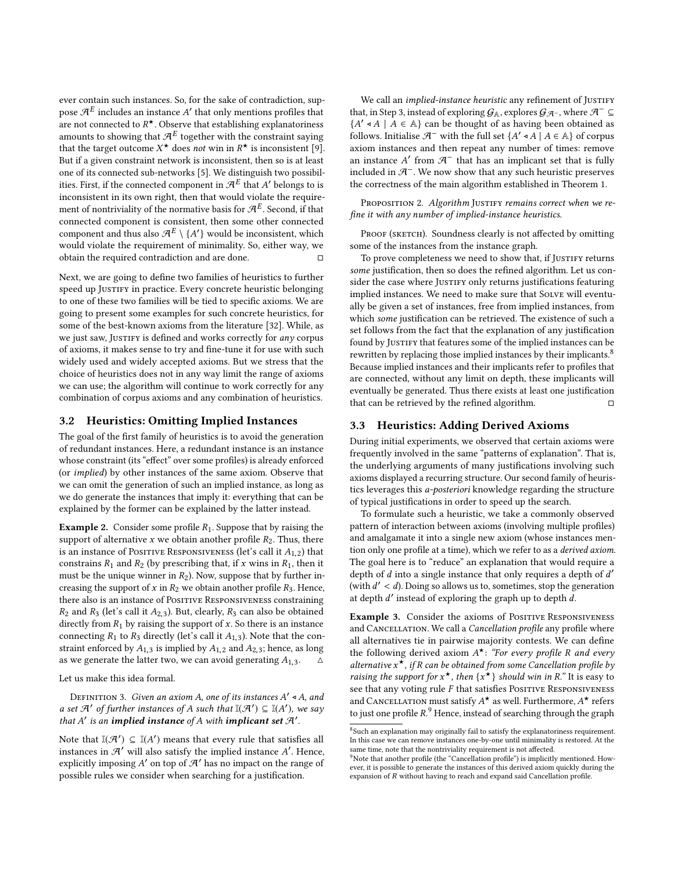ever contain such instances. So, for the sake of contradiction, suppose  $\mathcal{A}^E$  includes an instance  $A'$  that only mentions profiles that are not connected to  $R^*$ . Observe that establishing explanatoriness<br>amounts to showing that  $qE$  together with the constraint saving amounts to showing that  $\mathcal{A}^E$  together with the constraint saying that the target outcome  $X^*$  does not win in  $R^*$  is inconsistent [\[9\]](#page-8-1).<br>But if a given constraint network is inconsistent, then so is at least. But if a given constraint network is inconsistent, then so is at least one of its connected sub-networks [\[5\]](#page-8-19). We distinguish two possibilities. First, if the connected component in  $\mathcal{A}^E$  that A' belongs to is<br>inconsistent in its own right, then that would violate the requireinconsistent in its own right, then that would violate the requirement of nontriviality of the normative basis for  $\mathcal{A}^E.$  Second, if that connected component is consistent, then some other connected component and thus also  $\mathcal{A}^E \setminus \{A'\}$  would be inconsistent, which<br>would violate the requirement of minimality. So, either way, we would violate the requirement of minimality. So, either way, we obtain the required contradiction and are done.  $□$ 

Next, we are going to define two families of heuristics to further speed up JUSTIFY in practice. Every concrete heuristic belonging to one of these two families will be tied to specific axioms. We are going to present some examples for such concrete heuristics, for some of the best-known axioms from the literature [\[32\]](#page-8-6). While, as we just saw, JUSTIFY is defined and works correctly for any corpus of axioms, it makes sense to try and fine-tune it for use with such widely used and widely accepted axioms. But we stress that the choice of heuristics does not in any way limit the range of axioms we can use; the algorithm will continue to work correctly for any combination of corpus axioms and any combination of heuristics.

#### 3.2 Heuristics: Omitting Implied Instances

The goal of the first family of heuristics is to avoid the generation of redundant instances. Here, a redundant instance is an instance whose constraint (its "effect" over some profiles) is already enforced (or implied) by other instances of the same axiom. Observe that we can omit the generation of such an implied instance, as long as we do generate the instances that imply it: everything that can be explained by the former can be explained by the latter instead.

**Example 2.** Consider some profile  $R_1$ . Suppose that by raising the support of alternative  $x$  we obtain another profile  $R_2$ . Thus, there is an instance of Positive RESPONSIVENESS (let's call it  $A_{1,2}$ ) that constrains  $R_1$  and  $R_2$  (by prescribing that, if x wins in  $R_1$ , then it must be the unique winner in  $R_2$ ). Now, suppose that by further increasing the support of  $x$  in  $R_2$  we obtain another profile  $R_3$ . Hence, there also is an instance of PosiTIVE RESPONSIVENESS constraining  $R_2$  and  $R_3$  (let's call it  $A_{2,3}$ ). But, clearly,  $R_3$  can also be obtained directly from  $R_1$  by raising the support of  $x$ . So there is an instance connecting  $R_1$  to  $R_3$  directly (let's call it  $A_{1,3}$ ). Note that the constraint enforced by  $A_{1,3}$  is implied by  $A_{1,2}$  and  $A_{2,3}$ ; hence, as long as we generate the latter two, we can avoid generating  $A_{1,3}$ .

Let us make this idea formal.

DEFINITION 3. Given an axiom A, one of its instances  $A' \triangleleft A$ , and  $A' \triangleleft A'$  of further instances of A such that  $\mathbb{I}(\mathcal{A}') \subset \mathbb{I}(A')$ , we say a set  $\mathcal{A}'$  of further instances of A such that  $\mathbb{I}(\mathcal{A}') \subseteq \mathbb{I}(A')$ , we say<br>that  $A'$  is an **implied instance** of A with **implicant set**  $\mathcal{A}'$ that A' is an implied instance of A with implicant set  $\mathcal{A}'$ .

Note that  $\mathbb{I}(\mathcal{A}') \subseteq \mathbb{I}(A')$  means that every rule that satisfies all instances in  $\mathcal{A}'$  will also satisfy the implied instance  $A'$ . Hence instances in  $\mathcal{A}'$  will also satisfy the implied instance  $A'$ . Hence, explicitly imposing  $A'$  on top of  $\mathcal{A}'$  has no impact on the range of explicitly imposing  $A'$  on top of  $\mathcal{A}'$  has no impact on the range of possible rules we consider when searching for a justification possible rules we consider when searching for a justification.

We call an *implied-instance heuristic* any refinement of JUSTIFY that, in Step [3,](#page-3-5) instead of exploring  $G_A$ , explores  $G_{A^-}$ , where  $A^- \subseteq$  ${A' \triangleleft A \mid A \in \mathbb{A}}$  can be thought of as having been obtained as follows Initialise  $\mathcal{A}^-$  with the full set  ${A' \triangleleft A \mid A \in \mathbb{A}}$  of cornus follows. Initialise  $\mathcal{A}^-$  with the full set  $\{A' \triangleleft A \mid A \in \mathbb{A}\}$  of corpus axiom instances and then repeat any number of times: remove an instance A' from  $\mathcal{A}^-$  that has an implicant set that is fully included in  $\mathcal{A}^-$ . We now show that any such heuristic preserves included in  $\mathcal{A}^-$ . We now show that any such heuristic preserves the correctness of the main algorithm established in Theorem [1.](#page-3-6)

<span id="page-4-2"></span>PROPOSITION 2. Algorithm JUSTIFY remains correct when we refine it with any number of implied-instance heuristics.

PROOF (SKETCH). Soundness clearly is not affected by omitting some of the instances from the instance graph.

To prove completeness we need to show that, if JUSTIFY returns some justification, then so does the refined algorithm. Let us consider the case where JUSTIFY only returns justifications featuring implied instances. We need to make sure that SOLVE will eventually be given a set of instances, free from implied instances, from which some justification can be retrieved. The existence of such a set follows from the fact that the explanation of any justification found by JUSTIFY that features some of the implied instances can be rewritten by replacing those implied instances by their implicants.<sup>[8](#page-4-0)</sup> Because implied instances and their implicants refer to profiles that are connected, without any limit on depth, these implicants will eventually be generated. Thus there exists at least one justification that can be retrieved by the refined algorithm.  $□$ 

#### 3.3 Heuristics: Adding Derived Axioms

During initial experiments, we observed that certain axioms were frequently involved in the same "patterns of explanation". That is, the underlying arguments of many justifications involving such axioms displayed a recurring structure. Our second family of heuristics leverages this a-posteriori knowledge regarding the structure of typical justifications in order to speed up the search.

To formulate such a heuristic, we take a commonly observed pattern of interaction between axioms (involving multiple profiles) and amalgamate it into a single new axiom (whose instances mention only one profile at a time), which we refer to as a derived axiom. The goal here is to "reduce" an explanation that would require a depth of d into a single instance that only requires a depth of d'<br>(with  $d' < d$ ). Doing so allows us to sometimes stop the generation  $(with \, d' < d)$ . Doing so allows us to, sometimes, stop the generation at denth  $d'$  instead of exploring the graph up to denth  $d$ at depth  $d'$  instead of exploring the graph up to depth  $d$ .

Example 3. Consider the axioms of Positive Responsiveness and Cancellation. We call a Cancellation profile any profile where all alternatives tie in pairwise majority contests. We can define the following derived axiom  $A^{\star}$ : "For every profile R and every<br>alternative  $x^{\star}$  if R can be obtained from some Cancellation profile by alternative  $x^*$ , if R can be obtained from some Cancellation profile by<br>raising the support for  $x^*$ , then  $\{x^*\}$  should win in P "It is easy to raising the support for  $x^*$ , then  $\{x^*\}$  should win in R." It is easy to see that any voting rule E that satisfies Positive RESPONSIVENESS see that any voting rule  $F$  that satisfies POSITIVE RESPONSIVENESS and CANCELLATION must satisfy  $A^{\star}$  as well. Furthermore,  $A^{\star}$  refers<br>to just one profile  $R^9$  Hence, instead of searching through the graph to just one profile  $R$ .<sup>[9](#page-4-1)</sup> Hence, instead of searching through the graph

<span id="page-4-0"></span><sup>&</sup>lt;sup>8</sup>Such an explanation may originally fail to satisfy the explanatoriness requirement. In this case we can remove instances one-by-one until minimality is restored. At the same time, note that the nontriviality requirement is not affected.

<span id="page-4-1"></span><sup>&</sup>lt;sup>9</sup>Note that another profile (the "Cancellation profile") is implicitly mentioned. However, it is possible to generate the instances of this derived axiom quickly during the expansion of R without having to reach and expand said Cancellation profile.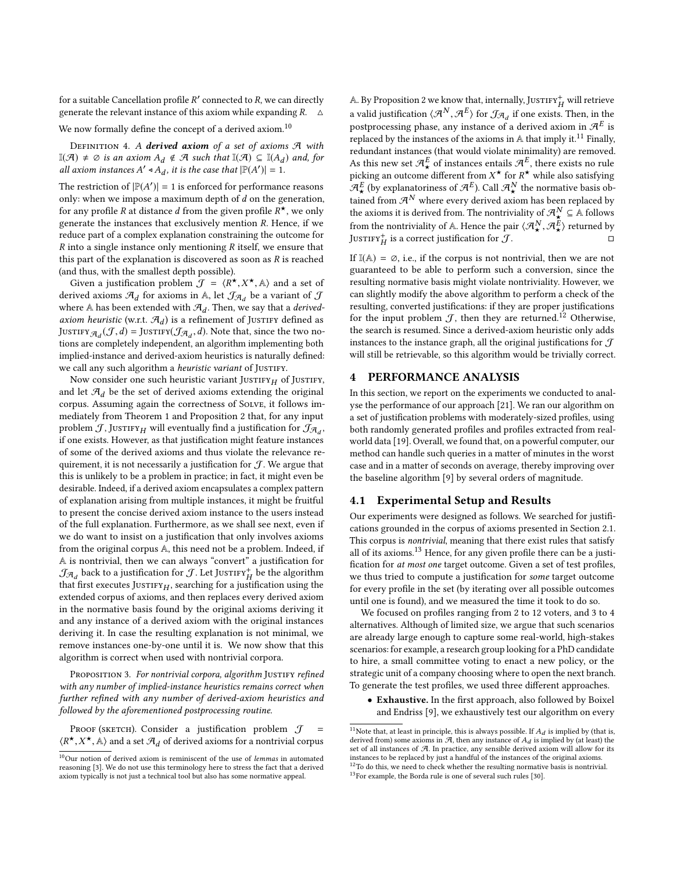for a suitable Cancellation profile R' connected to R, we can directly<br>generate the relevant instance of this axiom while expanding  $R = \Delta$ generate the relevant instance of this axiom while expanding  $R$ .  $\triangle$ 

We now formally define the concept of a derived axiom.<sup>[10](#page-5-1)</sup>

DEFINITION 4. A derived axiom of a set of axioms  $A$  with I(A) ≠  $\emptyset$  is an axiom  $A_d \notin \mathcal{A}$  such that  $\mathbb{I}(\mathcal{A}) \subseteq \mathbb{I}(A_d)$  and, for all axiom instances  $A' \notin A$ , it is the case that  $|\mathbb{P}(A')| = 1$ all axiom instances  $A' \triangleleft A_d$ , it is the case that  $|\mathbb{P}(A')| = 1$ .

The restriction of  $\left| P(A') \right| = 1$  is enforced for performance reasons<br>only when we impose a maximum depth of d on the generation only: when we impose a maximum depth of  $d$  on the generation, for any profile R at distance d from the given profile  $R^*$ , we only generate the instances that exclusively mention R. Hence, if we generate the instances that exclusively mention R. Hence, if we reduce part of a complex explanation constraining the outcome for  $R$  into a single instance only mentioning  $R$  itself, we ensure that this part of the explanation is discovered as soon as  $R$  is reached (and thus, with the smallest depth possible).

Given a justification problem  $\mathcal{J} = \langle R^*, X^*, A \rangle$  and a set of given a set of  $\mathcal{J}$  and a set of  $\mathcal{J}$ Given a justification problem  $J = \langle K, A \rangle$ ,  $A$  and a set of derived axioms  $\mathcal{A}_d$  for axioms in A, let  $\mathcal{J}_{\mathcal{A}_d}$  be a variant of  $J$ where A has been extended with  $\mathcal{A}_d$ . Then, we say that a *derived*axiom heuristic (w.r.t.  $\mathcal{A}_d$ ) is a refinement of Justify defined as JUSTIFY  $\mathcal{A}_d(\mathcal{J}, d) =$  JUSTIFY( $\mathcal{J}\mathcal{A}_d$ , d). Note that, since the two no-<br>tions are completely independent, an algorithm implementing both tions are completely independent, an algorithm implementing both implied-instance and derived-axiom heuristics is naturally defined: we call any such algorithm a heuristic variant of JUSTIFY.

Now consider one such heuristic variant JUSTIFY $_H$  of JUSTIFY, and let  $\mathcal{A}_d$  be the set of derived axioms extending the original corpus. Assuming again the correctness of Solve, it follows immediately from Theorem [1](#page-3-6) and Proposition [2](#page-4-2) that, for any input problem  $\mathcal J$  , Justifry $_H$  will eventually find a justification for  $\mathcal J_{\mathcal A_d}$  , if one exists. However, as that justification might feature instances of some of the derived axioms and thus violate the relevance requirement, it is not necessarily a justification for  $J$ . We argue that this is unlikely to be a problem in practice; in fact, it might even be desirable. Indeed, if a derived axiom encapsulates a complex pattern of explanation arising from multiple instances, it might be fruitful to present the concise derived axiom instance to the users instead of the full explanation. Furthermore, as we shall see next, even if we do want to insist on a justification that only involves axioms from the original corpus A, this need not be a problem. Indeed, if A is nontrivial, then we can always "convert" a justification for  $\mathcal{J}_{\mathcal{A}_d}$  back to a justification for  $\mathcal{J}.$  Let  ${\rm Jusrirr}_H^+$  be the algorithm that first executes JUSTIFY $_H$ , searching for a justification using the extended corpus of axioms, and then replaces every derived axiom in the normative basis found by the original axioms deriving it and any instance of a derived axiom with the original instances deriving it. In case the resulting explanation is not minimal, we remove instances one-by-one until it is. We now show that this algorithm is correct when used with nontrivial corpora.

PROPOSITION 3. For nontrivial corpora, algorithm JUSTIFY refined with any number of implied-instance heuristics remains correct when further refined with any number of derived-axiom heuristics and followed by the aforementioned postprocessing routine.

PROOF (SKETCH). Consider a justification problem  $\mathcal{J}$  =  $\langle R^{\star}, X^{\star}, A \rangle$  and a set  $\mathcal{A}_d$  of derived axioms for a nontrivial corpus

A. By Proposition [2](#page-4-2) we know that, internally,  $\text{Jusriry}_H^+$  will retrieve a valid justification  $\langle A^N, A^E \rangle$  for  $\mathcal{J}_{\mathcal{A}_d}$  if one exists. Then, in the nectors oscing phase any instance of a derived eviam in  $\mathcal{J}^E$  is postprocessing phase, any instance of a derived axiom in  $\mathcal{A}^E$  is replaced by the instances of the axioms in  $A$  that imply it.<sup>[11](#page-5-2)</sup> Finally, redundant instances (that would violate minimality) are removed. As this new set  ${\cal A}_{\star}^E$  of instances entails  ${\cal A}^E$ , there exists no rule picking an outcome different from  $X^*$  for  $R^*$  while also satisfying  $R^E$  (by explanatorings of  $R^E$ ) Call  $R^N$  the normative basis ob  $\mathcal{A}^E_\star$  (by explanatoriness of  $\mathcal{A}^E$ ). Call  $\mathcal{A}^N_\star$  the normative basis obtained from  $\mathcal{A}^N$  where every derived axiom has been replaced by the axioms it is derived from. The nontriviality of  $\mathcal{A}^N_\star \subseteq \mathbb{A}$  follows from the nontriviality of A. Hence the pair  $\langle A^N_\star, A^E_\star \rangle$  returned by<br>IUSTIES<sup>+</sup> is a correct justification for  $\mathcal{T}$ JUSTIFY<sup>+</sup>H is a correct justification for  $\mathcal{J}$ .

If  $\mathbb{I}(\mathbb{A}) = \emptyset$ , i.e., if the corpus is not nontrivial, then we are not guaranteed to be able to perform such a conversion, since the resulting normative basis might violate nontriviality. However, we can slightly modify the above algorithm to perform a check of the resulting, converted justifications: if they are proper justifications for the input problem  $J$ , then they are returned.<sup>[12](#page-5-3)</sup> Otherwise, the search is resumed. Since a derived-axiom heuristic only adds instances to the instance graph, all the original justifications for  $\mathcal J$ will still be retrievable, so this algorithm would be trivially correct.

# <span id="page-5-0"></span>4 PERFORMANCE ANALYSIS

In this section, we report on the experiments we conducted to analyse the performance of our approach [\[21\]](#page-8-17). We ran our algorithm on a set of justification problems with moderately-sized profiles, using both randomly generated profiles and profiles extracted from realworld data [\[19\]](#page-8-21). Overall, we found that, on a powerful computer, our method can handle such queries in a matter of minutes in the worst case and in a matter of seconds on average, thereby improving over the baseline algorithm [\[9\]](#page-8-1) by several orders of magnitude.

### 4.1 Experimental Setup and Results

Our experiments were designed as follows. We searched for justifications grounded in the corpus of axioms presented in Section [2.1.](#page-1-2) This corpus is nontrivial, meaning that there exist rules that satisfy all of its axioms.<sup>[13](#page-5-4)</sup> Hence, for any given profile there can be a justification for at most one target outcome. Given a set of test profiles, we thus tried to compute a justification for some target outcome for every profile in the set (by iterating over all possible outcomes until one is found), and we measured the time it took to do so.

We focused on profiles ranging from 2 to 12 voters, and 3 to 4 alternatives. Although of limited size, we argue that such scenarios are already large enough to capture some real-world, high-stakes scenarios: for example, a research group looking for a PhD candidate to hire, a small committee voting to enact a new policy, or the strategic unit of a company choosing where to open the next branch. To generate the test profiles, we used three different approaches.

• Exhaustive. In the first approach, also followed by Boixel and Endriss [\[9\]](#page-8-1), we exhaustively test our algorithm on every

<span id="page-5-1"></span> $^{10}\mathrm{Our}$  notion of derived axiom is reminiscent of the use of lemmas in automated reasoning [\[3\]](#page-8-20). We do not use this terminology here to stress the fact that a derived axiom typically is not just a technical tool but also has some normative appeal.

<span id="page-5-2"></span><sup>&</sup>lt;sup>11</sup>Note that, at least in principle, this is always possible. If  $A_d$  is implied by (that is, derived from) some axioms in  $\mathcal A,$  then any instance of  $A_d$  is implied by (at least) the set of all instances of  $A$ . In practice, any sensible derived axiom will allow for its instances to be replaced by just a handful of the instances of the original axioms. <sup>12</sup>To do this, we need to check whether the resulting normative basis is nontrivial.

<span id="page-5-4"></span><span id="page-5-3"></span><sup>13</sup>For example, the Borda rule is one of several such rules [\[30\]](#page-8-13).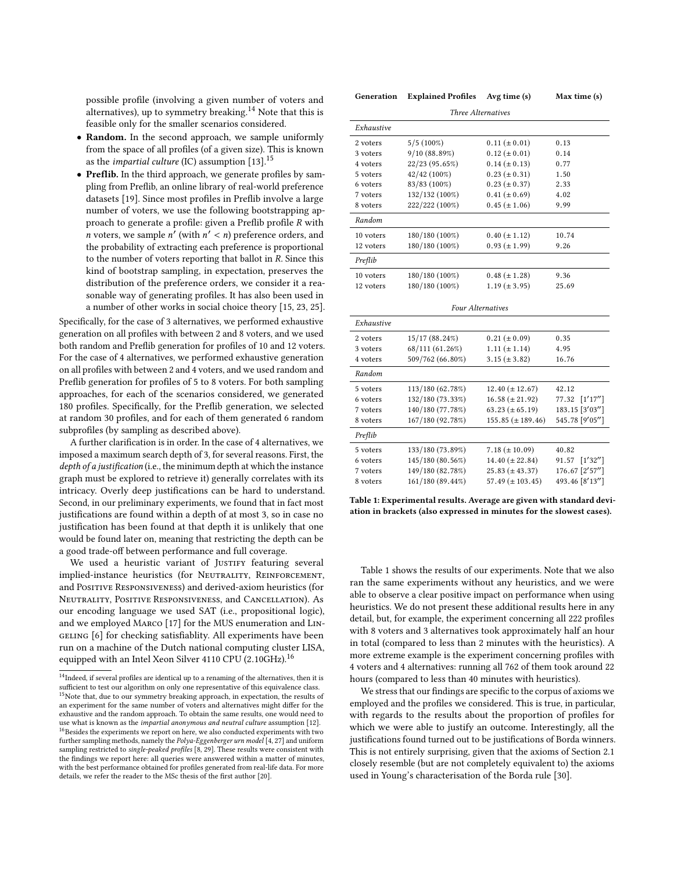possible profile (involving a given number of voters and alternatives), up to symmetry breaking.<sup>[14](#page-6-0)</sup> Note that this is feasible only for the smaller scenarios considered.

- Random. In the second approach, we sample uniformly from the space of all profiles (of a given size). This is known as the *impartial culture* (IC) assumption [\[13\]](#page-8-22).<sup>[15](#page-6-1)</sup>
- Preflib. In the third approach, we generate profiles by sampling from Preflib, an online library of real-world preference datasets [\[19\]](#page-8-21). Since most profiles in Preflib involve a large number of voters, we use the following bootstrapping approach to generate a profile: given a Preflib profile R with *n* voters, we sample  $n'$  (with  $n' < n$ ) preference orders, and the probability of extracting each preference is proportional the probability of extracting each preference is proportional to the number of voters reporting that ballot in R. Since this kind of bootstrap sampling, in expectation, preserves the distribution of the preference orders, we consider it a reasonable way of generating profiles. It has also been used in a number of other works in social choice theory [\[15,](#page-8-23) [23,](#page-8-24) [25\]](#page-8-25).

Specifically, for the case of 3 alternatives, we performed exhaustive generation on all profiles with between 2 and 8 voters, and we used both random and Preflib generation for profiles of 10 and 12 voters. For the case of 4 alternatives, we performed exhaustive generation on all profiles with between 2 and 4 voters, and we used random and Preflib generation for profiles of 5 to 8 voters. For both sampling approaches, for each of the scenarios considered, we generated 180 profiles. Specifically, for the Preflib generation, we selected at random 30 profiles, and for each of them generated 6 random subprofiles (by sampling as described above).

A further clarification is in order. In the case of 4 alternatives, we imposed a maximum search depth of 3, for several reasons. First, the depth of a justification (i.e., the minimum depth at which the instance graph must be explored to retrieve it) generally correlates with its intricacy. Overly deep justifications can be hard to understand. Second, in our preliminary experiments, we found that in fact most justifications are found within a depth of at most 3, so in case no justification has been found at that depth it is unlikely that one would be found later on, meaning that restricting the depth can be a good trade-off between performance and full coverage.

We used a heuristic variant of JUSTIFY featuring several implied-instance heuristics (for NEUTRALITY, REINFORCEMENT, and Positive Responsiveness) and derived-axiom heuristics (for Neutrality, Positive Responsiveness, and Cancellation). As our encoding language we used SAT (i.e., propositional logic), and we employed Marco [\[17\]](#page-8-9) for the MUS enumeration and Lin-GELING [\[6\]](#page-8-26) for checking satisfiablity. All experiments have been run on a machine of the Dutch national computing cluster LISA, equipped with an Intel Xeon Silver 4110 CPU (2.10GHz).<sup>[16](#page-6-2)</sup>

<span id="page-6-3"></span>

| Generation | <b>Explained Profiles</b> | Avg time $(s)$ |
|------------|---------------------------|----------------|
|            |                           |                |

Max time (s)

| Three Alternatives |                  |                         |                     |  |
|--------------------|------------------|-------------------------|---------------------|--|
| Exhaustive         |                  |                         |                     |  |
| 2 voters           | $5/5(100\%)$     | $0.11 (\pm 0.01)$       | 0.13                |  |
| 3 voters           | 9/10(88.89%)     | $0.12 \ (\pm 0.01)$     | 0.14                |  |
| 4 voters           | 22/23 (95.65%)   | $0.14 (\pm 0.13)$       | 0.77                |  |
| 5 voters           | 42/42 (100%)     | $0.23 (\pm 0.31)$       | 1.50                |  |
| 6 voters           | 83/83 (100%)     | $0.23 (\pm 0.37)$       | 2.33                |  |
| 7 voters           | 132/132 (100%)   | $0.41 (\pm 0.69)$       | 4.02                |  |
| 8 voters           | 222/222 (100%)   | $0.45 (\pm 1.06)$       | 9.99                |  |
| Random             |                  |                         |                     |  |
| 10 voters          | 180/180 (100%)   | $0.40 (\pm 1.12)$       | 10.74               |  |
| 12 voters          | 180/180 (100%)   | $0.93 \ (\pm 1.99)$     | 9.26                |  |
| Preflib            |                  |                         |                     |  |
| 10 voters          | 180/180 (100%)   | $0.48 (\pm 1.28)$       | 9.36                |  |
| 12 voters          | 180/180 (100%)   | $1.19 \ (\pm 3.95)$     | 25.69               |  |
| Four Alternatives  |                  |                         |                     |  |
| Exhaustive         |                  |                         |                     |  |
| 2 voters           | 15/17(88.24%)    | $0.21 (\pm 0.09)$       | 0.35                |  |
| 3 voters           | 68/111 (61.26%)  | $1.11 (\pm 1.14)$       | 4.95                |  |
| 4 voters           | 509/762 (66.80%) | $3.15 (\pm 3.82)$       | 16.76               |  |
| Random             |                  |                         |                     |  |
| 5 voters           | 113/180 (62.78%) | $12.40 \ (\pm 12.67)$   | 42.12               |  |
| 6 voters           | 132/180 (73.33%) | $16.58 (\pm 21.92)$     | [1'17'']<br>77.32   |  |
| 7 voters           | 140/180 (77.78%) | $63.23 (\pm 65.19)$     | 183.15 [3'03"]      |  |
| 8 voters           | 167/180 (92.78%) | $155.85 \ (\pm 189.46)$ | 545.78 [9'05"]      |  |
| Preflib            |                  |                         |                     |  |
| 5 voters           | 133/180 (73.89%) | $7.18 (\pm 10.09)$      | 40.82               |  |
| 6 voters           | 145/180 (80.56%) | $14.40 (\pm 22.84)$     | $[1'32'']$<br>91.57 |  |
| 7 voters           | 149/180 (82.78%) | $25.83 (\pm 43.37)$     | 176.67 [2'57"]      |  |
| 8 voters           | 161/180 (89.44%) | $57.49 \ (\pm 103.45)$  | 493.46 [8'13"]      |  |

Table 1: Experimental results. Average are given with standard deviation in brackets (also expressed in minutes for the slowest cases).

Table [1](#page-6-3) shows the results of our experiments. Note that we also ran the same experiments without any heuristics, and we were able to observe a clear positive impact on performance when using heuristics. We do not present these additional results here in any detail, but, for example, the experiment concerning all 222 profiles with 8 voters and 3 alternatives took approximately half an hour in total (compared to less than 2 minutes with the heuristics). A more extreme example is the experiment concerning profiles with 4 voters and 4 alternatives: running all 762 of them took around 22 hours (compared to less than 40 minutes with heuristics).

We stress that our findings are specific to the corpus of axioms we employed and the profiles we considered. This is true, in particular, with regards to the results about the proportion of profiles for which we were able to justify an outcome. Interestingly, all the justifications found turned out to be justifications of Borda winners. This is not entirely surprising, given that the axioms of Section [2.1](#page-1-2) closely resemble (but are not completely equivalent to) the axioms used in Young's characterisation of the Borda rule [\[30\]](#page-8-13).

<span id="page-6-2"></span><span id="page-6-1"></span><span id="page-6-0"></span><sup>&</sup>lt;sup>14</sup>Indeed, if several profiles are identical up to a renaming of the alternatives, then it is sufficient to test our algorithm on only one representative of this equivalence class.  $15$ Note that, due to our symmetry breaking approach, in expectation, the results of an experiment for the same number of voters and alternatives might differ for the exhaustive and the random approach. To obtain the same results, one would need to use what is known as the impartial anonymous and neutral culture assumption [\[12\]](#page-8-27).  $^{16}\rm{Besides}$  the experiments we report on here, we also conducted experiments with two further sampling methods, namely the Polya-Eggenberger urn model [\[4,](#page-8-28) [27\]](#page-8-29) and uniform sampling restricted to single-peaked profiles [\[8,](#page-8-30) [29\]](#page-8-31). These results were consistent with the findings we report here: all queries were answered within a matter of minutes, with the best performance obtained for profiles generated from real-life data. For more details, we refer the reader to the MSc thesis of the first author [\[20\]](#page-8-16).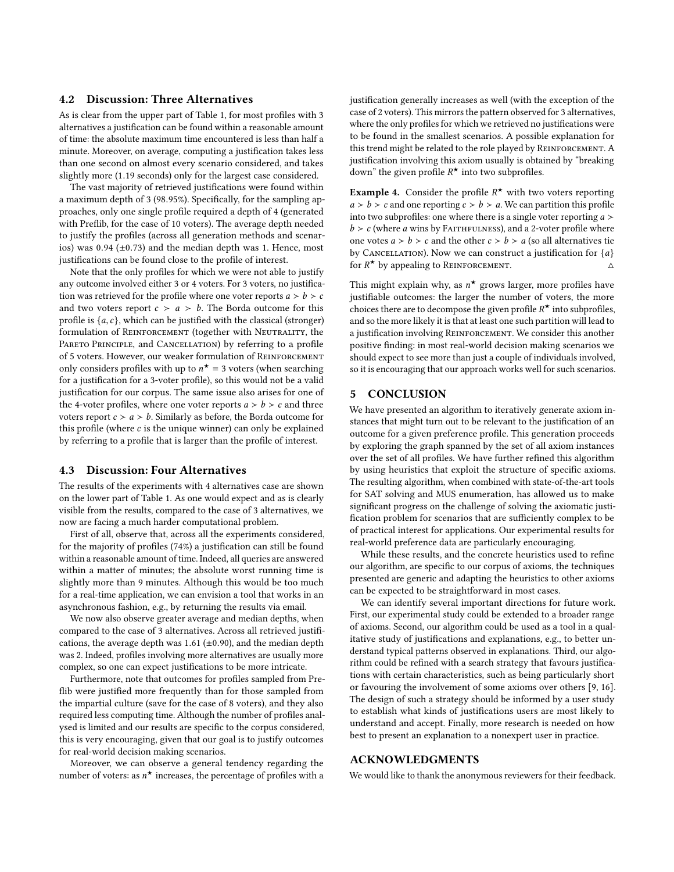# 4.2 Discussion: Three Alternatives

As is clear from the upper part of Table [1,](#page-6-3) for most profiles with 3 alternatives a justification can be found within a reasonable amount of time: the absolute maximum time encountered is less than half a minute. Moreover, on average, computing a justification takes less than one second on almost every scenario considered, and takes slightly more (1.<sup>19</sup> seconds) only for the largest case considered.

The vast majority of retrieved justifications were found within a maximum depth of <sup>3</sup> (98.95%). Specifically, for the sampling approaches, only one single profile required a depth of 4 (generated with Preflib, for the case of 10 voters). The average depth needed to justify the profiles (across all generation methods and scenarios) was  $0.94$  ( $\pm$ 0.73) and the median depth was 1. Hence, most justifications can be found close to the profile of interest.

Note that the only profiles for which we were not able to justify any outcome involved either 3 or 4 voters. For 3 voters, no justification was retrieved for the profile where one voter reports  $a > b > c$ and two voters report  $c > a > b$ . The Borda outcome for this profile is  $\{a, c\}$ , which can be justified with the classical (stronger) formulation of REINFORCEMENT (together with NEUTRALITY, the PARETO PRINCIPLE, and CANCELLATION) by referring to a profile of 5 voters. However, our weaker formulation of REINFORCEMENT only considers profiles with up to  $n^* = 3$  voters (when searching<br>for a justification for a 3-yoter profile), so this would not be a valid for a justification for a 3-voter profile), so this would not be a valid justification for our corpus. The same issue also arises for one of the 4-voter profiles, where one voter reports  $a > b > c$  and three voters report  $c > a > b$ . Similarly as before, the Borda outcome for this profile (where  $c$  is the unique winner) can only be explained by referring to a profile that is larger than the profile of interest.

#### 4.3 Discussion: Four Alternatives

The results of the experiments with 4 alternatives case are shown on the lower part of Table [1.](#page-6-3) As one would expect and as is clearly visible from the results, compared to the case of 3 alternatives, we now are facing a much harder computational problem.

First of all, observe that, across all the experiments considered, for the majority of profiles (74%) a justification can still be found within a reasonable amount of time. Indeed, all queries are answered within a matter of minutes; the absolute worst running time is slightly more than 9 minutes. Although this would be too much for a real-time application, we can envision a tool that works in an asynchronous fashion, e.g., by returning the results via email.

We now also observe greater average and median depths, when compared to the case of 3 alternatives. Across all retrieved justifications, the average depth was 1.61 ( $\pm$ 0.90), and the median depth was 2. Indeed, profiles involving more alternatives are usually more complex, so one can expect justifications to be more intricate.

Furthermore, note that outcomes for profiles sampled from Preflib were justified more frequently than for those sampled from the impartial culture (save for the case of 8 voters), and they also required less computing time. Although the number of profiles analysed is limited and our results are specific to the corpus considered, this is very encouraging, given that our goal is to justify outcomes for real-world decision making scenarios.

Moreover, we can observe a general tendency regarding the number of voters: as  $n^{\star}$  increases, the percentage of profiles with a justification generally increases as well (with the exception of the case of 2 voters). This mirrors the pattern observed for 3 alternatives, where the only profiles for which we retrieved no justifications were to be found in the smallest scenarios. A possible explanation for this trend might be related to the role played by Reinforcement. A justification involving this axiom usually is obtained by "breaking down" the given profile  $R^{\star}$  into two subprofiles.

**Example 4.** Consider the profile  $R^*$  with two voters reporting  $a > h > c$  and one reporting  $c > h > a$ . We can partition this profile  $a > b > c$  and one reporting  $c > b > a$ . We can partition this profile into two subprofiles: one where there is a single voter reporting  $a >$  $b > c$  (where a wins by FAITHFULNESS), and a 2-voter profile where one votes  $a > b > c$  and the other  $c > b > a$  (so all alternatives tie by CANCELLATION). Now we can construct a justification for  $\{a\}$  for  $R^*$  by appealing to REINFORCEMENT. for  $R^*$  by appealing to REINFORCEMENT.  $\triangle$ 

This might explain why, as  $n^*$  grows larger, more profiles have<br>instifiable outcomes: the larger the number of voters, the more justifiable outcomes: the larger the number of voters, the more choices there are to decompose the given profile  $R^{\star}$  into subprofiles,<br>and so the more likely it is that at least one such partition will lead to and so the more likely it is that at least one such partition will lead to a justification involving REINFORCEMENT. We consider this another positive finding: in most real-world decision making scenarios we should expect to see more than just a couple of individuals involved, so it is encouraging that our approach works well for such scenarios.

# 5 CONCLUSION

We have presented an algorithm to iteratively generate axiom instances that might turn out to be relevant to the justification of an outcome for a given preference profile. This generation proceeds by exploring the graph spanned by the set of all axiom instances over the set of all profiles. We have further refined this algorithm by using heuristics that exploit the structure of specific axioms. The resulting algorithm, when combined with state-of-the-art tools for SAT solving and MUS enumeration, has allowed us to make significant progress on the challenge of solving the axiomatic justification problem for scenarios that are sufficiently complex to be of practical interest for applications. Our experimental results for real-world preference data are particularly encouraging.

While these results, and the concrete heuristics used to refine our algorithm, are specific to our corpus of axioms, the techniques presented are generic and adapting the heuristics to other axioms can be expected to be straightforward in most cases.

We can identify several important directions for future work. First, our experimental study could be extended to a broader range of axioms. Second, our algorithm could be used as a tool in a qualitative study of justifications and explanations, e.g., to better understand typical patterns observed in explanations. Third, our algorithm could be refined with a search strategy that favours justifications with certain characteristics, such as being particularly short or favouring the involvement of some axioms over others [\[9,](#page-8-1) [16\]](#page-8-32). The design of such a strategy should be informed by a user study to establish what kinds of justifications users are most likely to understand and accept. Finally, more research is needed on how best to present an explanation to a nonexpert user in practice.

# ACKNOWLEDGMENTS

We would like to thank the anonymous reviewers for their feedback.